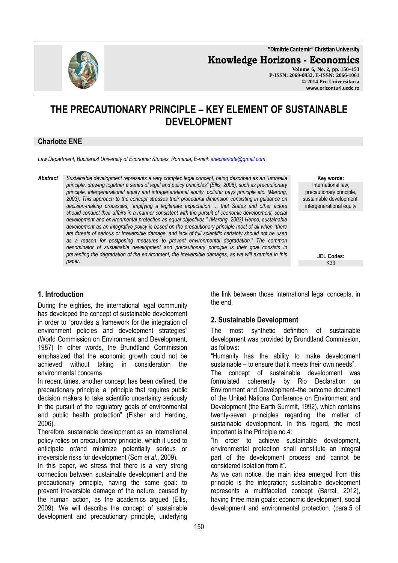**"Dimitrie Cantemir" Christian University**

**Knowledge Horizons - Economics**

**Volume 6, No. 2, pp. 150–153 P-ISSN: 2069-0932, E-ISSN: 2066-1061 © 2014 Pro Universitaria www.orizonturi.ucdc.ro**

# **THE PRECAUTIONARY PRINCIPLE – KEY ELEMENT OF SUSTAINABLE DEVELOPMENT**

#### **Charlotte ENE**

*Law Department, Bucharest University of Economic Studies, Romania, E-mail: enecharlotte@gmail.com*

*Abstract Sustainable development represents a very complex legal concept, being described as an "umbrella principle, drawing together a series of legal and policy principles" (Ellis, 2008), such as precautionary principle, intergenerational equity and intragenerational equity, polluter pays principle etc. (Marong, 2003). This approach to the concept stresses their procedural dimension consisting in guidance on decision-making processes, "impl[ying a legitimate expectation … that States and other actors should conduct their affairs in a manner consistent with the pursuit of economic development, social development and environmental protection as equal objectives." (Marong, 2003) Hence, sustainable development as an integrative policy is based on the precautionary principle most of all when "there are threats of serious or irreversible damage, and lack of full scientific certainty should not be used as a reason for postponing measures to prevent environmental degradation." The common denominator of sustainable development and precautionary principle is their goal consists in preventing the degradation of the environment, the irreversible damages, as we will examine in this paper.* 

**Key words:** International law, precautionary principle, sustainable development, intergenerational equity

> **JEL Codes:** K33

## **1. Introduction**

During the eighties, the international legal community has developed the concept of sustainable development in order to "provides a framework for the integration of environment policies and development strategies" (World Commission on Environment and Development, 1987) In other words, the Brundtland Commission emphasized that the economic growth could not be achieved without taking in consideration the environmental concerns.

In recent times, another concept has been defined, the precautionary principle, a "principle that requires public decision makers to take scientific uncertainty seriously in the pursuit of the regulatory goals of environmental and public health protection" (Fisher and Harding, 2006).

Therefore, sustainable development as an international policy relies on precautionary principle, which it used to anticipate or/and minimize potentially serious or irreversible risks for development (Som *et al*., 2009).

In this paper, we stress that there is a very strong connection between sustainable development and the precautionary principle, having the same goal: to prevent irreversible damage of the nature, caused by the human action, as the academics argued (Ellis, 2009). We will describe the concept of sustainable development and precautionary principle, underlying the link between those international legal concepts, in the end.

#### **2. Sustainable Development**

The most synthetic definition of sustainable development was provided by Brundtland Commission, as follows:

"Humanity has the ability to make development sustainable – to ensure that it meets their own needs".

The concept of sustainable development was formulated coherently by Rio Declaration on Environment and Development–the outcome document of the United Nations Conference on Environment and Development (the Earth Summit, 1992), which contains twenty-seven principles regarding the matter of sustainable development. In this regard, the most important is the Principle no.4:

"In order to achieve sustainable development, environmental protection shall constitute an integral part of the development process and cannot be considered isolation from it".

As we can notice, the main idea emerged from this principle is the integration; sustainable development represents a multifaceted concept (Barral, 2012), having three main goals: economic development, social development and environmental protection. (para.5 of

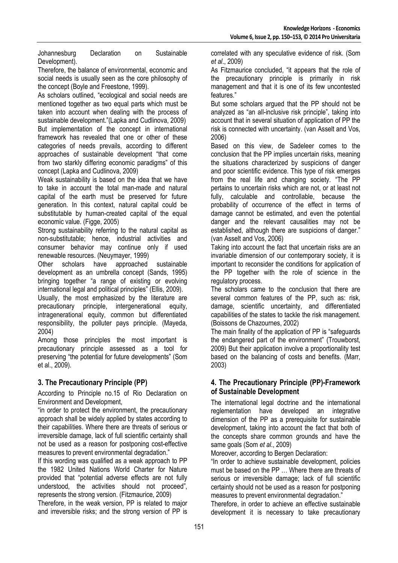Johannesburg Declaration on Sustainable Development).

Therefore, the balance of environmental, economic and social needs is usually seen as the core philosophy of the concept (Boyle and Freestone, 1999).

As scholars outlined, "ecological and social needs are mentioned together as two equal parts which must be taken into account when dealing with the process of sustainable development."(Lapka and Cudlinova, 2009) But implementation of the concept in international framework has revealed that one or other of these categories of needs prevails, according to different approaches of sustainable development "that come from two starkly differing economic paradigms" of this concept (Lapka and Cudlinova, 2009)

Weak sustainability is based on the idea that we have to take in account the total man-made and natural capital of the earth must be preserved for future generation. In this context, natural capital could be substitutable by human-created capital of the equal economic value. (Figge, 2005)

Strong sustainability referring to the natural capital as non-substitutable; hence, industrial activities and consumer behavior may continue only if used renewable resources. (Neuymayer, 1999)

Other scholars have approached sustainable development as an umbrella concept (Sands, 1995) bringing together "a range of existing or evolving international legal and political principles" (Ellis, 2009).

Usually, the most emphasized by the literature are precautionary principle, intergenerational equity, intragenerational equity, common but differentiated responsibility, the polluter pays principle. (Mayeda, 2004)

Among those principles the most important is precautionary principle assessed as a tool for preserving "the potential for future developments" (Som et al., 2009).

## **3. The Precautionary Principle (PP)**

According to Principle no.15 of Rio Declaration on Environment and Development,

"in order to protect the environment, the precautionary approach shall be widely applied by states according to their capabilities. Where there are threats of serious or irreversible damage, lack of full scientific certainty shall not be used as a reason for postponing cost-effective measures to prevent environmental degradation."

If this wording was qualified as a weak approach to PP the 1982 United Nations World Charter for Nature provided that "potential adverse effects are not fully understood, the activities should not proceed", represents the strong version. (Fitzmaurice, 2009)

Therefore, in the weak version, PP is related to major and irreversible risks; and the strong version of PP is correlated with any speculative evidence of risk. (Som *et al*., 2009)

As Fitzmaurice concluded, "it appears that the role of the precautionary principle is primarily in risk management and that it is one of its few uncontested features."

But some scholars argued that the PP should not be analyzed as "an all-inclusive risk principle", taking into account that in several situation of application of PP the risk is connected with uncertainty. (van Asselt and Vos, 2006)

Based on this view, de Sadeleer comes to the conclusion that the PP implies uncertain risks, meaning the situations characterized by suspicions of danger and poor scientific evidence. This type of risk emerges from the real life and changing society. "The PP pertains to uncertain risks which are not, or at least not fully, calculable and controllable, because the probability of occurrence of the effect in terms of damage cannot be estimated, and even the potential danger and the relevant causalities may not be established, although there are suspicions of danger." (van Asselt and Vos, 2006)

Taking into account the fact that uncertain risks are an invariable dimension of our contemporary society, it is important to reconsider the conditions for application of the PP together with the role of science in the regulatory process.

The scholars came to the conclusion that there are several common features of the PP, such as: risk, damage, scientific uncertainty, and differentiated capabilities of the states to tackle the risk management. (Boissons de Chazournes, 2002)

The main finality of the application of PP is "safeguards the endangered part of the environment" (Trouwborst, 2009) But their application involve a proportionality test based on the balancing of costs and benefits. (Marr, 2003)

### **4. The Precautionary Principle (PP)-Framework of Sustainable Development**

The international legal doctrine and the international reglementation have developed an integrative dimension of the PP as a prerequisite for sustainable development, taking into account the fact that both of the concepts share common grounds and have the same goals (Som *et al*., 2009)

Moreover, according to Bergen Declaration:

"In order to achieve sustainable development, policies must be based on the PP … Where there are threats of serious or irreversible damage; lack of full scientific certainty should not be used as a reason for postponing measures to prevent environmental degradation."

Therefore, in order to achieve an effective sustainable development it is necessary to take precautionary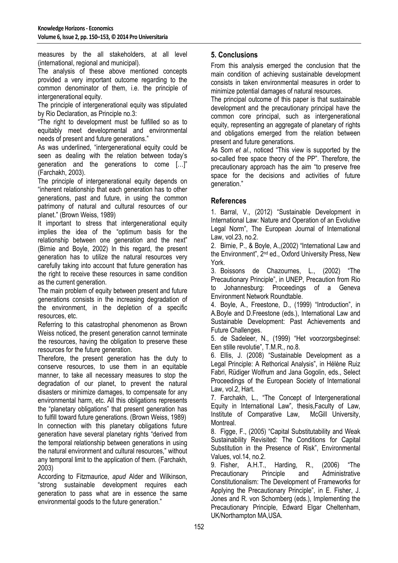measures by the all stakeholders, at all level (international, regional and municipal).

The analysis of these above mentioned concepts provided a very important outcome regarding to the common denominator of them, i.e. the principle of intergenerational equity.

The principle of intergenerational equity was stipulated by Rio Declaration, as Principle no.3:

"The right to development must be fulfilled so as to equitably meet developmental and environmental needs of present and future generations."

As was underlined, "intergenerational equity could be seen as dealing with the relation between today's generation and the generations to come […]" (Farchakh, 2003).

The principle of intergenerational equity depends on "inherent relationship that each generation has to other generations, past and future, in using the common patrimony of natural and cultural resources of our planet." (Brown Weiss, 1989)

It important to stress that intergenerational equity implies the idea of the "optimum basis for the relationship between one generation and the next" (Birnie and Boyle, 2002) In this regard, the present generation has to utilize the natural resources very carefully taking into account that future generation has the right to receive these resources in same condition as the current generation.

The main problem of equity between present and future generations consists in the increasing degradation of the environment, in the depletion of a specific resources, etc.

Referring to this catastrophal phenomenon as Brown Weiss noticed, the present generation cannot terminate the resources, having the obligation to preserve these resources for the future generation.

Therefore, the present generation has the duty to conserve resources, to use them in an equitable manner, to take all necessary measures to stop the degradation of our planet, to prevent the natural disasters or minimize damages, to compensate for any environmental harm, etc. All this obligations represents the "planetary obligations" that present generation has to fulfill toward future generations. (Brown Weiss, 1989) In connection with this planetary obligations future generation have several planetary rights "derived from the temporal relationship between generations in using the natural environment and cultural resources," without any temporal limit to the application of them. (Farchakh, 2003)

According to Fitzmaurice, *apud* Alder and Wilkinson, "strong sustainable development requires each generation to pass what are in essence the same environmental goods to the future generation."

## **5. Conclusions**

From this analysis emerged the conclusion that the main condition of achieving sustainable development consists in taken environmental measures in order to minimize potential damages of natural resources.

The principal outcome of this paper is that sustainable development and the precautionary principal have the common core principal, such as intergenerational equity, representing an aggregate of planetary of rights and obligations emerged from the relation between present and future generations.

As Som *et al*., noticed "This view is supported by the so-called free space theory of the PP". Therefore, the precautionary approach has the aim "to preserve free space for the decisions and activities of future generation."

#### **References**

1. Barral, V., (2012) "Sustainable Development in International Law: Nature and Operation of an Evolutive Legal Norm", The European Journal of International Law, vol.23, no.2.

2. Birnie, P., & Boyle, A.,(2002) "International Law and the Environment", 2nd ed., Oxford University Press, New York.

3. Boissons de Chazournes, L., (2002) "The Precautionary Principle", in UNEP, Precaution from Rio to Johannesburg: Proceedings of a Geneva Environment Network Roundtable.

4. Boyle, A., Freestone, D., (1999) "Introduction", in A.Boyle and D.Freestone (eds.), International Law and Sustainable Development: Past Achievements and Future Challenges.

5. de Sadeleer, N., (1999) "Het voorzorgsbeginsel: Een stille revolutie", T.M.R., no.8.

6. Ellis, J. (2008) "Sustainable Development as a Legal Principle: A Rethorical Analysis", in Hélène Ruiz Fabri, Rüdiger Wolfrum and Jana Gogolin, eds., Select Proceedings of the European Society of International Law, vol.2, Hart.

7. Farchakh, L., "The Concept of Intergenerational Equity in International Law", thesis,Faculty of Law, Institute of Comparative Law, McGill University, Montreal.

8. Figge, F., (2005) "Capital Substitutability and Weak Sustainability Revisited: The Conditions for Capital Substitution in the Presence of Risk", Environmental Values, vol.14, no.2.

9. Fisher, A.H.T., Harding, R., (2006) "The Precautionary Principle and Administrative Constitutionalism: The Development of Frameworks for Applying the Precautionary Principle", in E. Fisher, J. Jones and R. von Schomberg (eds.), Implementing the Precautionary Principle, Edward Elgar Cheltenham, UK/Northampton MA,USA.